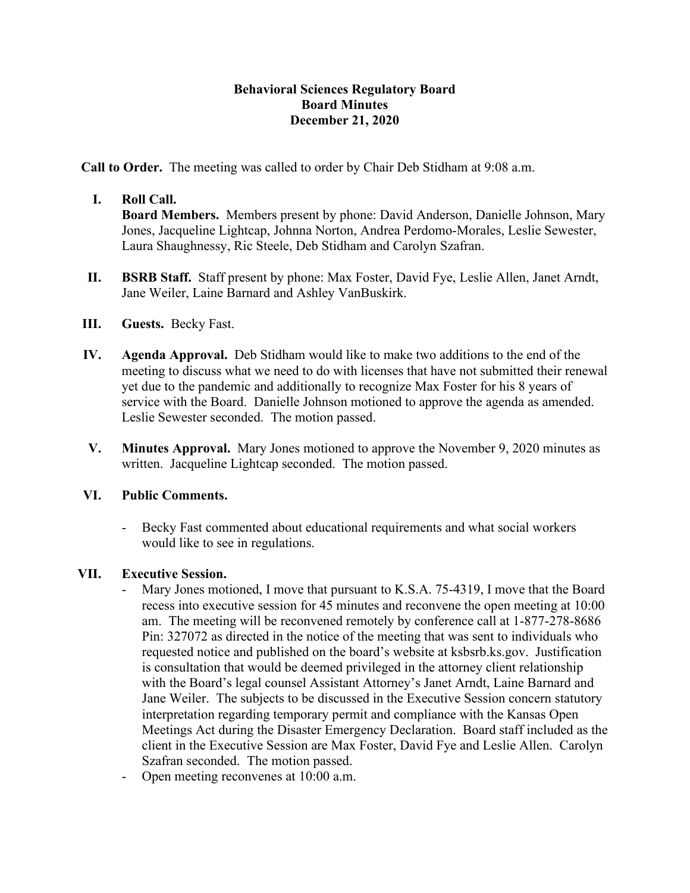## **Behavioral Sciences Regulatory Board Board Minutes December 21, 2020**

**Call to Order.** The meeting was called to order by Chair Deb Stidham at 9:08 a.m.

## **I. Roll Call.**

**Board Members.** Members present by phone: David Anderson, Danielle Johnson, Mary Jones, Jacqueline Lightcap, Johnna Norton, Andrea Perdomo-Morales, Leslie Sewester, Laura Shaughnessy, Ric Steele, Deb Stidham and Carolyn Szafran.

- **II. BSRB Staff.** Staff present by phone: Max Foster, David Fye, Leslie Allen, Janet Arndt, Jane Weiler, Laine Barnard and Ashley VanBuskirk.
- **III. Guests.** Becky Fast.
- **IV. Agenda Approval.** Deb Stidham would like to make two additions to the end of the meeting to discuss what we need to do with licenses that have not submitted their renewal yet due to the pandemic and additionally to recognize Max Foster for his 8 years of service with the Board. Danielle Johnson motioned to approve the agenda as amended. Leslie Sewester seconded. The motion passed.
- **V. Minutes Approval.** Mary Jones motioned to approve the November 9, 2020 minutes as written. Jacqueline Lightcap seconded. The motion passed.

#### **VI. Public Comments.**

- Becky Fast commented about educational requirements and what social workers would like to see in regulations.

#### **VII. Executive Session.**

- Mary Jones motioned, I move that pursuant to K.S.A. 75-4319, I move that the Board recess into executive session for 45 minutes and reconvene the open meeting at 10:00 am. The meeting will be reconvened remotely by conference call at 1-877-278-8686 Pin: 327072 as directed in the notice of the meeting that was sent to individuals who requested notice and published on the board's website at ksbsrb.ks.gov. Justification is consultation that would be deemed privileged in the attorney client relationship with the Board's legal counsel Assistant Attorney's Janet Arndt, Laine Barnard and Jane Weiler. The subjects to be discussed in the Executive Session concern statutory interpretation regarding temporary permit and compliance with the Kansas Open Meetings Act during the Disaster Emergency Declaration. Board staff included as the client in the Executive Session are Max Foster, David Fye and Leslie Allen. Carolyn Szafran seconded. The motion passed.
- Open meeting reconvenes at 10:00 a.m.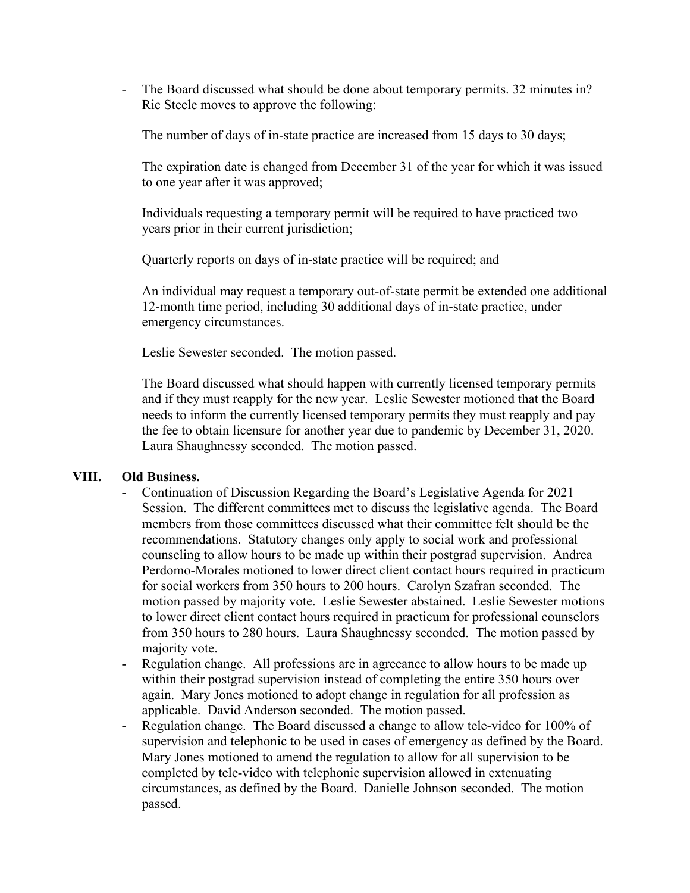- The Board discussed what should be done about temporary permits. 32 minutes in? Ric Steele moves to approve the following:

The number of days of in-state practice are increased from 15 days to 30 days;

The expiration date is changed from December 31 of the year for which it was issued to one year after it was approved;

Individuals requesting a temporary permit will be required to have practiced two years prior in their current jurisdiction;

Quarterly reports on days of in-state practice will be required; and

An individual may request a temporary out-of-state permit be extended one additional 12-month time period, including 30 additional days of in-state practice, under emergency circumstances.

Leslie Sewester seconded. The motion passed.

The Board discussed what should happen with currently licensed temporary permits and if they must reapply for the new year. Leslie Sewester motioned that the Board needs to inform the currently licensed temporary permits they must reapply and pay the fee to obtain licensure for another year due to pandemic by December 31, 2020. Laura Shaughnessy seconded. The motion passed.

#### **VIII. Old Business.**

- Continuation of Discussion Regarding the Board's Legislative Agenda for 2021 Session. The different committees met to discuss the legislative agenda. The Board members from those committees discussed what their committee felt should be the recommendations. Statutory changes only apply to social work and professional counseling to allow hours to be made up within their postgrad supervision. Andrea Perdomo-Morales motioned to lower direct client contact hours required in practicum for social workers from 350 hours to 200 hours. Carolyn Szafran seconded. The motion passed by majority vote. Leslie Sewester abstained. Leslie Sewester motions to lower direct client contact hours required in practicum for professional counselors from 350 hours to 280 hours. Laura Shaughnessy seconded. The motion passed by majority vote.
- Regulation change. All professions are in agreeance to allow hours to be made up within their postgrad supervision instead of completing the entire 350 hours over again. Mary Jones motioned to adopt change in regulation for all profession as applicable. David Anderson seconded. The motion passed.
- Regulation change. The Board discussed a change to allow tele-video for 100% of supervision and telephonic to be used in cases of emergency as defined by the Board. Mary Jones motioned to amend the regulation to allow for all supervision to be completed by tele-video with telephonic supervision allowed in extenuating circumstances, as defined by the Board. Danielle Johnson seconded. The motion passed.